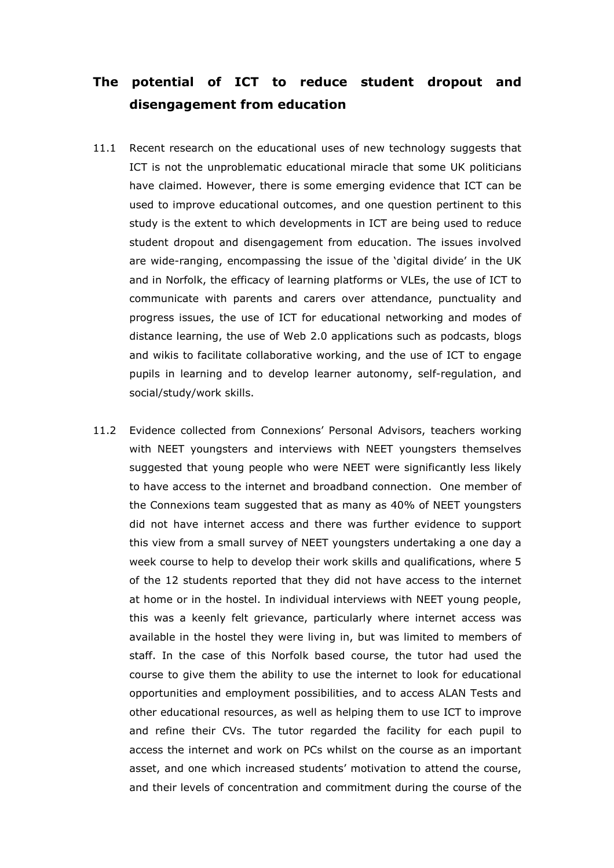## The potential of ICT to reduce student dropout and disengagement from education

- 11.1 Recent research on the educational uses of new technology suggests that ICT is not the unproblematic educational miracle that some UK politicians have claimed. However, there is some emerging evidence that ICT can be used to improve educational outcomes, and one question pertinent to this study is the extent to which developments in ICT are being used to reduce student dropout and disengagement from education. The issues involved are wide-ranging, encompassing the issue of the 'digital divide' in the UK and in Norfolk, the efficacy of learning platforms or VLEs, the use of ICT to communicate with parents and carers over attendance, punctuality and progress issues, the use of ICT for educational networking and modes of distance learning, the use of Web 2.0 applications such as podcasts, blogs and wikis to facilitate collaborative working, and the use of ICT to engage pupils in learning and to develop learner autonomy, self-regulation, and social/study/work skills.
- 11.2 Evidence collected from Connexions' Personal Advisors, teachers working with NEET youngsters and interviews with NEET youngsters themselves suggested that young people who were NEET were significantly less likely to have access to the internet and broadband connection. One member of the Connexions team suggested that as many as 40% of NEET youngsters did not have internet access and there was further evidence to support this view from a small survey of NEET youngsters undertaking a one day a week course to help to develop their work skills and qualifications, where 5 of the 12 students reported that they did not have access to the internet at home or in the hostel. In individual interviews with NEET young people, this was a keenly felt grievance, particularly where internet access was available in the hostel they were living in, but was limited to members of staff. In the case of this Norfolk based course, the tutor had used the course to give them the ability to use the internet to look for educational opportunities and employment possibilities, and to access ALAN Tests and other educational resources, as well as helping them to use ICT to improve and refine their CVs. The tutor regarded the facility for each pupil to access the internet and work on PCs whilst on the course as an important asset, and one which increased students' motivation to attend the course, and their levels of concentration and commitment during the course of the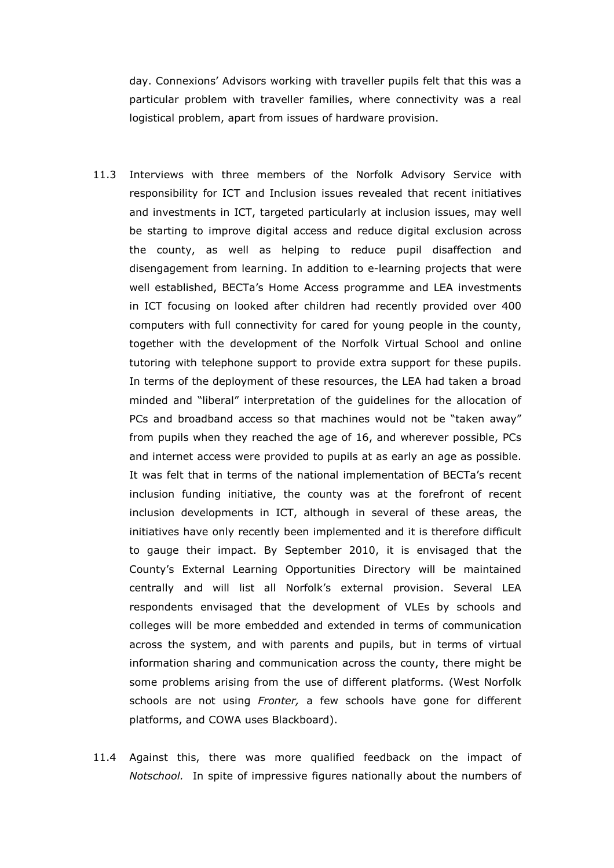day. Connexions' Advisors working with traveller pupils felt that this was a particular problem with traveller families, where connectivity was a real logistical problem, apart from issues of hardware provision.

- 11.3 Interviews with three members of the Norfolk Advisory Service with responsibility for ICT and Inclusion issues revealed that recent initiatives and investments in ICT, targeted particularly at inclusion issues, may well be starting to improve digital access and reduce digital exclusion across the county, as well as helping to reduce pupil disaffection and disengagement from learning. In addition to e-learning projects that were well established, BECTa's Home Access programme and LEA investments in ICT focusing on looked after children had recently provided over 400 computers with full connectivity for cared for young people in the county, together with the development of the Norfolk Virtual School and online tutoring with telephone support to provide extra support for these pupils. In terms of the deployment of these resources, the LEA had taken a broad minded and "liberal" interpretation of the guidelines for the allocation of PCs and broadband access so that machines would not be "taken away" from pupils when they reached the age of 16, and wherever possible, PCs and internet access were provided to pupils at as early an age as possible. It was felt that in terms of the national implementation of BECTa's recent inclusion funding initiative, the county was at the forefront of recent inclusion developments in ICT, although in several of these areas, the initiatives have only recently been implemented and it is therefore difficult to gauge their impact. By September 2010, it is envisaged that the County's External Learning Opportunities Directory will be maintained centrally and will list all Norfolk's external provision. Several LEA respondents envisaged that the development of VLEs by schools and colleges will be more embedded and extended in terms of communication across the system, and with parents and pupils, but in terms of virtual information sharing and communication across the county, there might be some problems arising from the use of different platforms. (West Norfolk schools are not using Fronter, a few schools have gone for different platforms, and COWA uses Blackboard).
- 11.4 Against this, there was more qualified feedback on the impact of Notschool. In spite of impressive figures nationally about the numbers of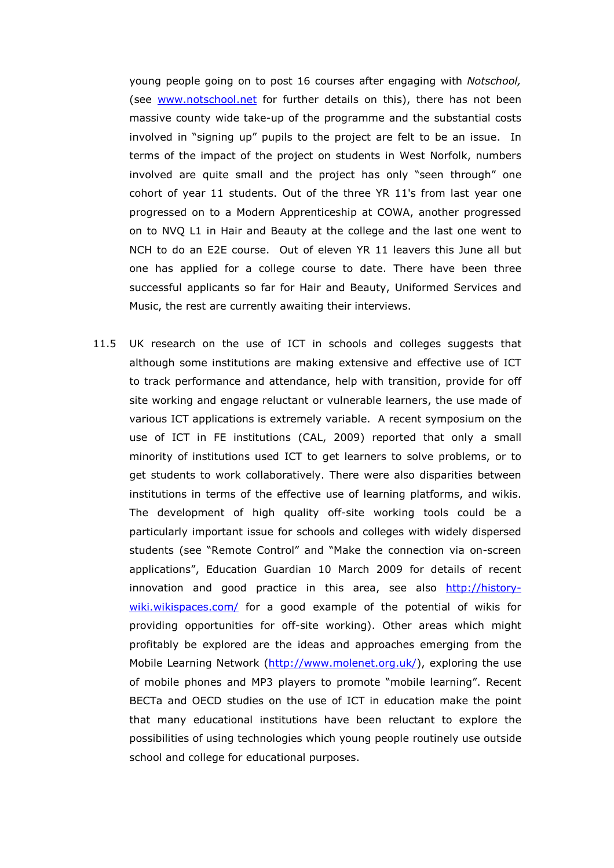young people going on to post 16 courses after engaging with Notschool, (see www.notschool.net for further details on this), there has not been massive county wide take-up of the programme and the substantial costs involved in "signing up" pupils to the project are felt to be an issue. In terms of the impact of the project on students in West Norfolk, numbers involved are quite small and the project has only "seen through" one cohort of year 11 students. Out of the three YR 11's from last year one progressed on to a Modern Apprenticeship at COWA, another progressed on to NVQ L1 in Hair and Beauty at the college and the last one went to NCH to do an E2E course. Out of eleven YR 11 leavers this June all but one has applied for a college course to date. There have been three successful applicants so far for Hair and Beauty, Uniformed Services and Music, the rest are currently awaiting their interviews.

11.5 UK research on the use of ICT in schools and colleges suggests that although some institutions are making extensive and effective use of ICT to track performance and attendance, help with transition, provide for off site working and engage reluctant or vulnerable learners, the use made of various ICT applications is extremely variable. A recent symposium on the use of ICT in FE institutions (CAL, 2009) reported that only a small minority of institutions used ICT to get learners to solve problems, or to get students to work collaboratively. There were also disparities between institutions in terms of the effective use of learning platforms, and wikis. The development of high quality off-site working tools could be a particularly important issue for schools and colleges with widely dispersed students (see "Remote Control" and "Make the connection via on-screen applications", Education Guardian 10 March 2009 for details of recent innovation and good practice in this area, see also http://historywiki.wikispaces.com/ for a good example of the potential of wikis for providing opportunities for off-site working). Other areas which might profitably be explored are the ideas and approaches emerging from the Mobile Learning Network (http://www.molenet.org.uk/), exploring the use of mobile phones and MP3 players to promote "mobile learning". Recent BECTa and OECD studies on the use of ICT in education make the point that many educational institutions have been reluctant to explore the possibilities of using technologies which young people routinely use outside school and college for educational purposes.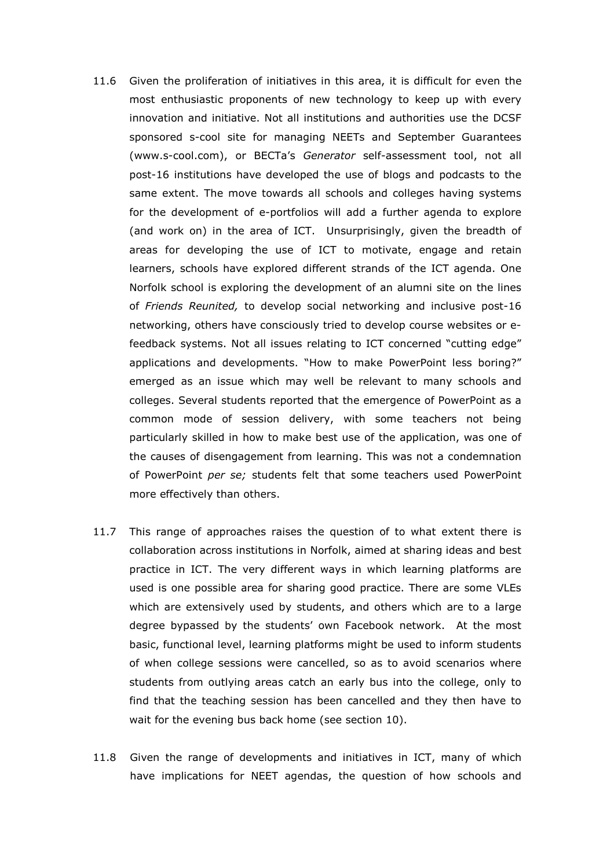- 11.6 Given the proliferation of initiatives in this area, it is difficult for even the most enthusiastic proponents of new technology to keep up with every innovation and initiative. Not all institutions and authorities use the DCSF sponsored s-cool site for managing NEETs and September Guarantees (www.s-cool.com), or BECTa's Generator self-assessment tool, not all post-16 institutions have developed the use of blogs and podcasts to the same extent. The move towards all schools and colleges having systems for the development of e-portfolios will add a further agenda to explore (and work on) in the area of ICT. Unsurprisingly, given the breadth of areas for developing the use of ICT to motivate, engage and retain learners, schools have explored different strands of the ICT agenda. One Norfolk school is exploring the development of an alumni site on the lines of Friends Reunited, to develop social networking and inclusive post-16 networking, others have consciously tried to develop course websites or efeedback systems. Not all issues relating to ICT concerned "cutting edge" applications and developments. "How to make PowerPoint less boring?" emerged as an issue which may well be relevant to many schools and colleges. Several students reported that the emergence of PowerPoint as a common mode of session delivery, with some teachers not being particularly skilled in how to make best use of the application, was one of the causes of disengagement from learning. This was not a condemnation of PowerPoint per se; students felt that some teachers used PowerPoint more effectively than others.
- 11.7 This range of approaches raises the question of to what extent there is collaboration across institutions in Norfolk, aimed at sharing ideas and best practice in ICT. The very different ways in which learning platforms are used is one possible area for sharing good practice. There are some VLEs which are extensively used by students, and others which are to a large degree bypassed by the students' own Facebook network. At the most basic, functional level, learning platforms might be used to inform students of when college sessions were cancelled, so as to avoid scenarios where students from outlying areas catch an early bus into the college, only to find that the teaching session has been cancelled and they then have to wait for the evening bus back home (see section 10).
- 11.8 Given the range of developments and initiatives in ICT, many of which have implications for NEET agendas, the question of how schools and